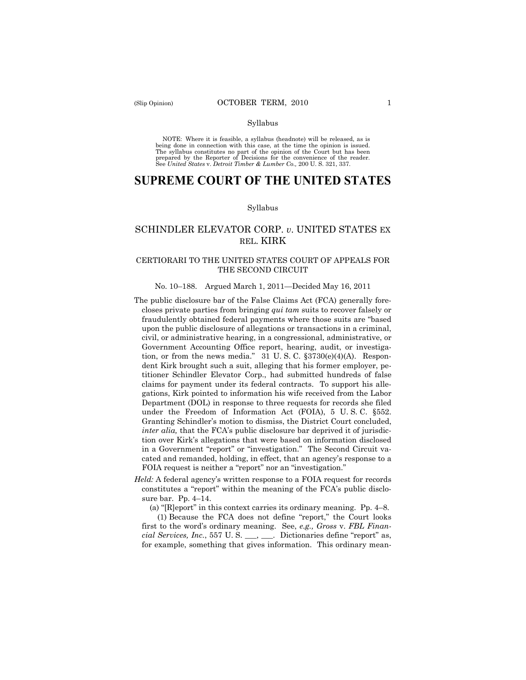#### Syllabus

NOTE: Where it is feasible, a syllabus (headnote) will be released, as is being done in connection with this case, at the time the opinion is issued. The syllabus constitutes no part of the opinion of the Court but has been<br>prepared by the Reporter of Decisions for the convenience of the reader.<br>See United States v. Detroit Timber & Lumber Co., 200 U. S. 321, 337.

# **SUPREME COURT OF THE UNITED STATES**

#### Syllabus

## SCHINDLER ELEVATOR CORP. *v*. UNITED STATES EX REL. KIRK

## CERTIORARI TO THE UNITED STATES COURT OF APPEALS FOR THE SECOND CIRCUIT

#### No. 10–188. Argued March 1, 2011—Decided May 16, 2011

- The public disclosure bar of the False Claims Act (FCA) generally forecloses private parties from bringing *qui tam* suits to recover falsely or fraudulently obtained federal payments where those suits are "based upon the public disclosure of allegations or transactions in a criminal, civil, or administrative hearing, in a congressional, administrative, or Government Accounting Office report, hearing, audit, or investigation, or from the news media."  $31 \text{ U.S. C. }$   $\S 3730(e)(4)(A)$ . Respondent Kirk brought such a suit, alleging that his former employer, petitioner Schindler Elevator Corp., had submitted hundreds of false claims for payment under its federal contracts. To support his allegations, Kirk pointed to information his wife received from the Labor Department (DOL) in response to three requests for records she filed under the Freedom of Information Act (FOIA), 5 U. S. C. §552. Granting Schindler's motion to dismiss, the District Court concluded, *inter alia,* that the FCA's public disclosure bar deprived it of jurisdiction over Kirk's allegations that were based on information disclosed in a Government "report" or "investigation." The Second Circuit vacated and remanded, holding, in effect, that an agency's response to a FOIA request is neither a "report" nor an "investigation."
- *Held:* A federal agency's written response to a FOIA request for records constitutes a "report" within the meaning of the FCA's public disclosure bar. Pp. 4–14.

(a) "[R]eport" in this context carries its ordinary meaning. Pp. 4–8.

(1) Because the FCA does not define "report," the Court looks first to the word's ordinary meaning. See, *e.g., Gross* v. *FBL Financial Services, Inc.*, 557 U. S. \_\_\_, \_\_\_. Dictionaries define "report" as, for example, something that gives information. This ordinary mean-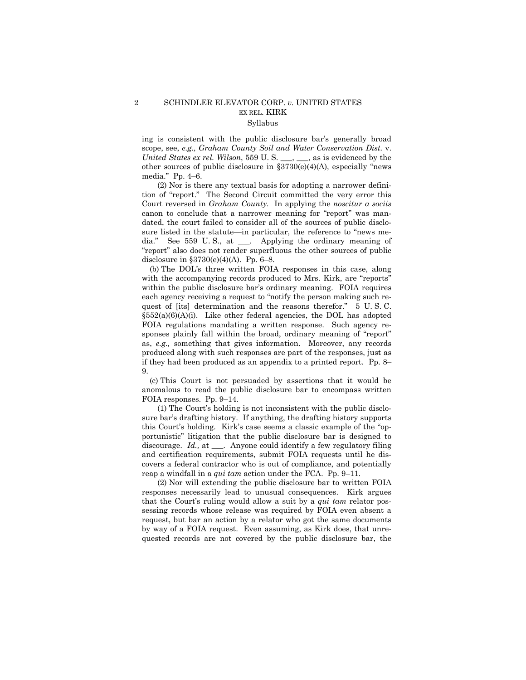## 2 SCHINDLER ELEVATOR CORP. *v.* UNITED STATES EX REL. KIRK Syllabus

ing is consistent with the public disclosure bar's generally broad scope, see, *e.g., Graham County Soil and Water Conservation Dist.* v. *United States ex rel. Wilson,* 559 U.S. \_\_\_, \_\_, as is evidenced by the other sources of public disclosure in  $$3730(e)(4)(A)$ , especially "news media." Pp. 4–6.

(2) Nor is there any textual basis for adopting a narrower definition of "report." The Second Circuit committed the very error this Court reversed in *Graham County.* In applying the *noscitur a sociis*  canon to conclude that a narrower meaning for "report" was mandated, the court failed to consider all of the sources of public disclosure listed in the statute—in particular, the reference to "news media." See 559 U. S., at \_\_\_. Applying the ordinary meaning of "report" also does not render superfluous the other sources of public disclosure in §3730(e)(4)(A). Pp. 6–8.

(b) The DOL's three written FOIA responses in this case, along with the accompanying records produced to Mrs. Kirk, are "reports" within the public disclosure bar's ordinary meaning. FOIA requires each agency receiving a request to "notify the person making such request of [its] determination and the reasons therefor." 5 U. S. C.  $\S552(a)(6)(A)(i)$ . Like other federal agencies, the DOL has adopted FOIA regulations mandating a written response. Such agency responses plainly fall within the broad, ordinary meaning of "report" as, *e.g.,* something that gives information. Moreover, any records produced along with such responses are part of the responses, just as if they had been produced as an appendix to a printed report. Pp. 8– 9.

(c) This Court is not persuaded by assertions that it would be anomalous to read the public disclosure bar to encompass written FOIA responses. Pp. 9–14.

(1) The Court's holding is not inconsistent with the public disclosure bar's drafting history. If anything, the drafting history supports this Court's holding. Kirk's case seems a classic example of the "opportunistic" litigation that the public disclosure bar is designed to discourage. *Id.,* at \_\_\_. Anyone could identify a few regulatory filing and certification requirements, submit FOIA requests until he discovers a federal contractor who is out of compliance, and potentially reap a windfall in a *qui tam* action under the FCA. Pp. 9–11.

(2) Nor will extending the public disclosure bar to written FOIA responses necessarily lead to unusual consequences. Kirk argues that the Court's ruling would allow a suit by a *qui tam* relator possessing records whose release was required by FOIA even absent a request, but bar an action by a relator who got the same documents by way of a FOIA request. Even assuming, as Kirk does, that unrequested records are not covered by the public disclosure bar, the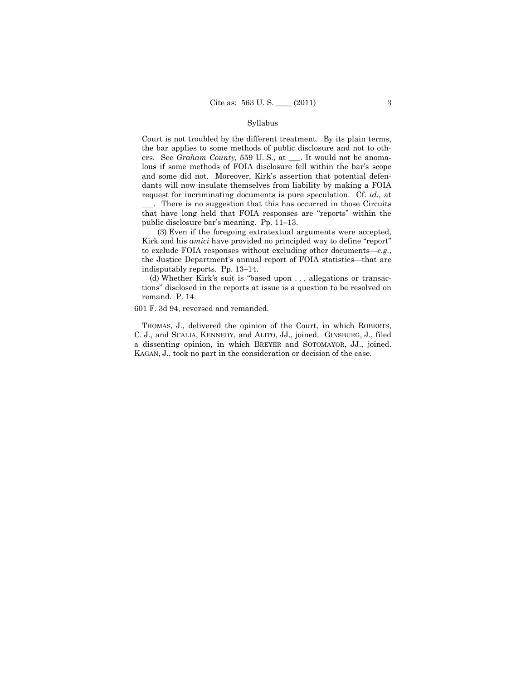#### Syllabus

Court is not troubled by the different treatment. By its plain terms, the bar applies to some methods of public disclosure and not to others. See *Graham County,* 559 U. S., at \_\_\_. It would not be anomalous if some methods of FOIA disclosure fell within the bar's scope and some did not. Moreover, Kirk's assertion that potential defendants will now insulate themselves from liability by making a FOIA request for incriminating documents is pure speculation. Cf. *id.,* at

\_\_\_. There is no suggestion that this has occurred in those Circuits that have long held that FOIA responses are "reports" within the public disclosure bar's meaning. Pp. 11–13.

(3) Even if the foregoing extratextual arguments were accepted, Kirk and his *amici* have provided no principled way to define "report" to exclude FOIA responses without excluding other documents—*e.g.*, the Justice Department's annual report of FOIA statistics—that are indisputably reports. Pp. 13–14.

(d) Whether Kirk's suit is "based upon . . . allegations or transactions" disclosed in the reports at issue is a question to be resolved on remand. P. 14.

601 F. 3d 94, reversed and remanded.

THOMAS, J., delivered the opinion of the Court, in which ROBERTS, C. J., and SCALIA, KENNEDY, and ALITO, JJ., joined. GINSBURG, J., filed a dissenting opinion, in which BREYER and SOTOMAYOR, JJ., joined. KAGAN, J., took no part in the consideration or decision of the case.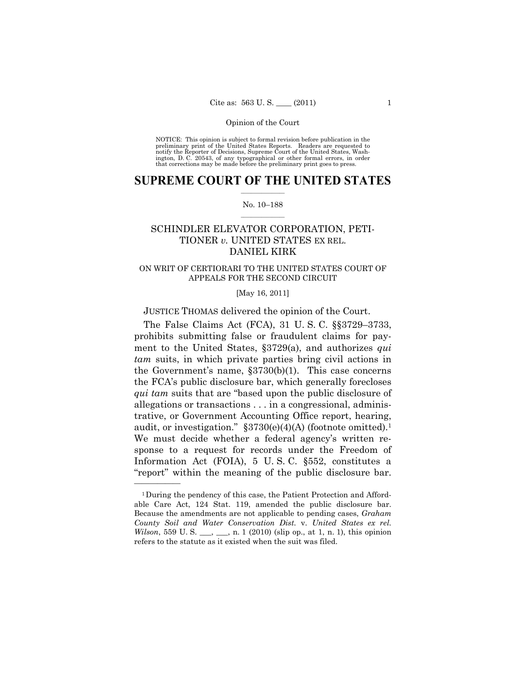NOTICE: This opinion is subject to formal revision before publication in the preliminary print of the United States Reports. Readers are requested to notify the Reporter of Decisions, Supreme Court of the United States, Washington, D. C. 20543, of any typographical or other formal errors, in order that corrections may be made before the preliminary print goes to press.

## $\frac{1}{2}$  ,  $\frac{1}{2}$  ,  $\frac{1}{2}$  ,  $\frac{1}{2}$  ,  $\frac{1}{2}$  ,  $\frac{1}{2}$  ,  $\frac{1}{2}$ **SUPREME COURT OF THE UNITED STATES**

#### $\frac{1}{2}$  ,  $\frac{1}{2}$  ,  $\frac{1}{2}$  ,  $\frac{1}{2}$  ,  $\frac{1}{2}$  ,  $\frac{1}{2}$ No. 10–188

## SCHINDLER ELEVATOR CORPORATION, PETI-TIONER *v.* UNITED STATES EX REL. DANIEL KIRK

## ON WRIT OF CERTIORARI TO THE UNITED STATES COURT OF APPEALS FOR THE SECOND CIRCUIT

[May 16, 2011]

JUSTICE THOMAS delivered the opinion of the Court.

The False Claims Act (FCA), 31 U. S. C. §§3729–3733, prohibits submitting false or fraudulent claims for payment to the United States, §3729(a), and authorizes *qui tam* suits, in which private parties bring civil actions in the Government's name,  $\S 3730(b)(1)$ . This case concerns the FCA's public disclosure bar, which generally forecloses *qui tam* suits that are "based upon the public disclosure of allegations or transactions . . . in a congressional, administrative, or Government Accounting Office report, hearing, audit, or investigation."  $\S3730(e)(4)(A)$  (footnote omitted).<sup>1</sup> We must decide whether a federal agency's written response to a request for records under the Freedom of Information Act (FOIA), 5 U. S. C. §552, constitutes a "report" within the meaning of the public disclosure bar.

<sup>1</sup>During the pendency of this case, the Patient Protection and Affordable Care Act, 124 Stat. 119, amended the public disclosure bar. Because the amendments are not applicable to pending cases, *Graham County Soil and Water Conservation Dist.* v. *United States ex rel. Wilson*, 559 U. S. \_\_, \_\_, n. 1 (2010) (slip op., at 1, n. 1), this opinion refers to the statute as it existed when the suit was filed.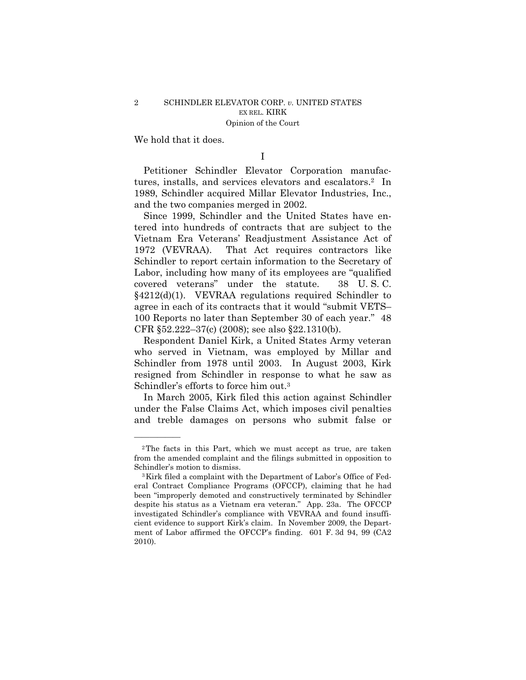We hold that it does.

——————

I

Petitioner Schindler Elevator Corporation manufactures, installs, and services elevators and escalators.2 In 1989, Schindler acquired Millar Elevator Industries, Inc., and the two companies merged in 2002.

Since 1999, Schindler and the United States have entered into hundreds of contracts that are subject to the Vietnam Era Veterans' Readjustment Assistance Act of 1972 (VEVRAA). That Act requires contractors like Schindler to report certain information to the Secretary of Labor, including how many of its employees are "qualified covered veterans" under the statute. 38 U. S. C. §4212(d)(1). VEVRAA regulations required Schindler to agree in each of its contracts that it would "submit VETS– 100 Reports no later than September 30 of each year." 48 CFR §52.222–37(c) (2008); see also §22.1310(b).

Respondent Daniel Kirk, a United States Army veteran who served in Vietnam, was employed by Millar and Schindler from 1978 until 2003. In August 2003, Kirk resigned from Schindler in response to what he saw as Schindler's efforts to force him out.<sup>3</sup>

In March 2005, Kirk filed this action against Schindler under the False Claims Act, which imposes civil penalties and treble damages on persons who submit false or

<sup>2</sup>The facts in this Part, which we must accept as true, are taken from the amended complaint and the filings submitted in opposition to Schindler's motion to dismiss.<br><sup>3</sup>Kirk filed a complaint with the Department of Labor's Office of Fed-

eral Contract Compliance Programs (OFCCP), claiming that he had been "improperly demoted and constructively terminated by Schindler despite his status as a Vietnam era veteran." App. 23a. The OFCCP investigated Schindler's compliance with VEVRAA and found insufficient evidence to support Kirk's claim. In November 2009, the Department of Labor affirmed the OFCCP's finding. 601 F. 3d 94, 99 (CA2 2010).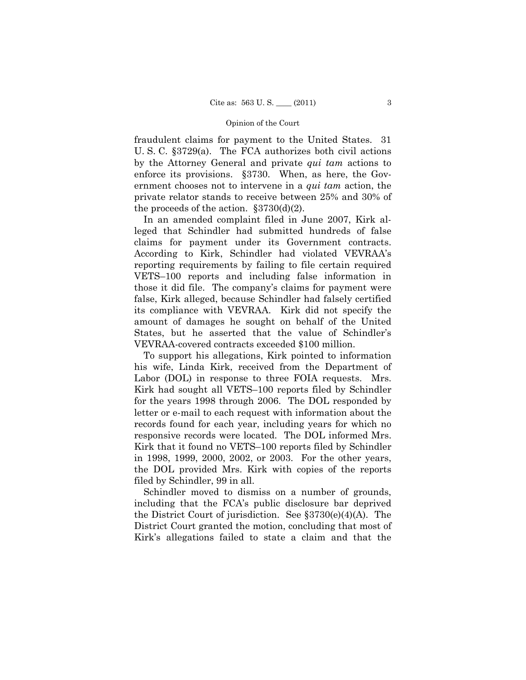fraudulent claims for payment to the United States. 31 U. S. C. §3729(a). The FCA authorizes both civil actions by the Attorney General and private *qui tam* actions to enforce its provisions. §3730. When, as here, the Government chooses not to intervene in a *qui tam* action, the private relator stands to receive between 25% and 30% of the proceeds of the action.  $\S 3730(d)(2)$ .

In an amended complaint filed in June 2007, Kirk alleged that Schindler had submitted hundreds of false claims for payment under its Government contracts. According to Kirk, Schindler had violated VEVRAA's reporting requirements by failing to file certain required VETS–100 reports and including false information in those it did file. The company's claims for payment were false, Kirk alleged, because Schindler had falsely certified its compliance with VEVRAA. Kirk did not specify the amount of damages he sought on behalf of the United States, but he asserted that the value of Schindler's VEVRAA-covered contracts exceeded \$100 million.

To support his allegations, Kirk pointed to information his wife, Linda Kirk, received from the Department of Labor (DOL) in response to three FOIA requests. Mrs. Kirk had sought all VETS–100 reports filed by Schindler for the years 1998 through 2006. The DOL responded by letter or e-mail to each request with information about the records found for each year, including years for which no responsive records were located. The DOL informed Mrs. Kirk that it found no VETS–100 reports filed by Schindler in 1998, 1999, 2000, 2002, or 2003. For the other years, the DOL provided Mrs. Kirk with copies of the reports filed by Schindler, 99 in all.

Schindler moved to dismiss on a number of grounds, including that the FCA's public disclosure bar deprived the District Court of jurisdiction. See §3730(e)(4)(A). The District Court granted the motion, concluding that most of Kirk's allegations failed to state a claim and that the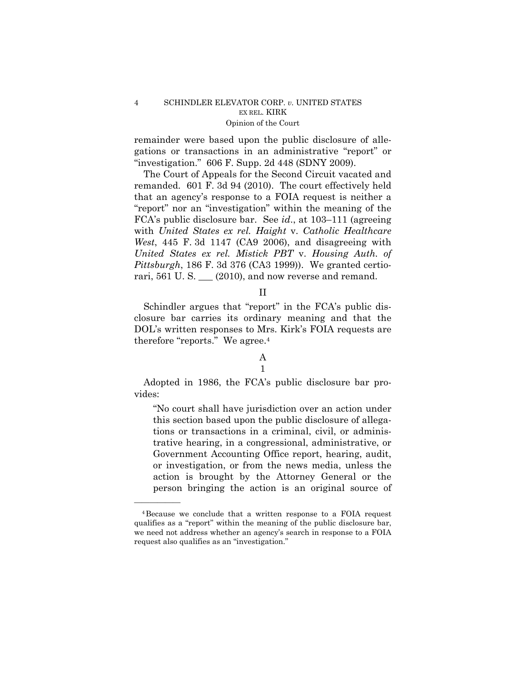## 4 SCHINDLER ELEVATOR CORP. *v.* UNITED STATES EX REL. KIRK Opinion of the Court

remainder were based upon the public disclosure of allegations or transactions in an administrative "report" or "investigation." 606 F. Supp. 2d 448 (SDNY 2009).

The Court of Appeals for the Second Circuit vacated and remanded. 601 F. 3d 94 (2010). The court effectively held that an agency's response to a FOIA request is neither a "report" nor an "investigation" within the meaning of the FCA's public disclosure bar. See *id*., at 103–111 (agreeing with *United States ex rel. Haight* v. *Catholic Healthcare West*, 445 F. 3d 1147 (CA9 2006), and disagreeing with *United States ex rel. Mistick PBT* v. *Housing Auth. of Pittsburgh*, 186 F. 3d 376 (CA3 1999)). We granted certiorari, 561 U.S. \_\_ (2010), and now reverse and remand.

### II

Schindler argues that "report" in the FCA's public disclosure bar carries its ordinary meaning and that the DOL's written responses to Mrs. Kirk's FOIA requests are therefore "reports." We agree.<sup>4</sup>

## A

## 1

Adopted in 1986, the FCA's public disclosure bar provides:

"No court shall have jurisdiction over an action under this section based upon the public disclosure of allegations or transactions in a criminal, civil, or administrative hearing, in a congressional, administrative, or Government Accounting Office report, hearing, audit, or investigation, or from the news media, unless the action is brought by the Attorney General or the person bringing the action is an original source of

<sup>4</sup>Because we conclude that a written response to a FOIA request qualifies as a "report" within the meaning of the public disclosure bar, we need not address whether an agency's search in response to a FOIA request also qualifies as an "investigation."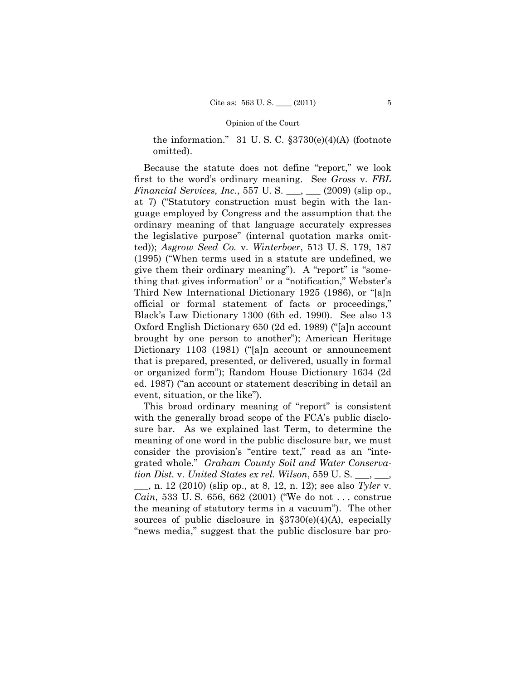the information." 31 U.S.C.  $\S 3730(e)(4)$ (A) (footnote omitted).

Because the statute does not define "report," we look first to the word's ordinary meaning. See *Gross* v. *FBL Financial Services, Inc.*, 557 U. S. \_\_\_, \_\_\_ (2009) (slip op., at 7) ("Statutory construction must begin with the language employed by Congress and the assumption that the ordinary meaning of that language accurately expresses the legislative purpose" (internal quotation marks omitted)); *Asgrow Seed Co.* v. *Winterboer*, 513 U. S. 179, 187 (1995) ("When terms used in a statute are undefined, we give them their ordinary meaning"). A "report" is "something that gives information" or a "notification," Webster's Third New International Dictionary 1925 (1986), or "[a]n official or formal statement of facts or proceedings," Black's Law Dictionary 1300 (6th ed. 1990). See also 13 Oxford English Dictionary 650 (2d ed. 1989) ("[a]n account brought by one person to another"); American Heritage Dictionary 1103 (1981) ("[a]n account or announcement that is prepared, presented, or delivered, usually in formal or organized form"); Random House Dictionary 1634 (2d ed. 1987) ("an account or statement describing in detail an event, situation, or the like").

This broad ordinary meaning of "report" is consistent with the generally broad scope of the FCA's public disclosure bar. As we explained last Term, to determine the meaning of one word in the public disclosure bar, we must consider the provision's "entire text," read as an "integrated whole." *Graham County Soil and Water Conservation Dist.* v. *United States ex rel. Wilson*, 559 U. S. \_\_\_, \_\_\_,

\_\_\_, n. 12 (2010) (slip op., at 8, 12, n. 12); see also *Tyler* v. *Cain*, 533 U. S. 656, 662 (2001) ("We do not . . . construe the meaning of statutory terms in a vacuum"). The other sources of public disclosure in  $\S 3730(e)(4)$ (A), especially "news media," suggest that the public disclosure bar pro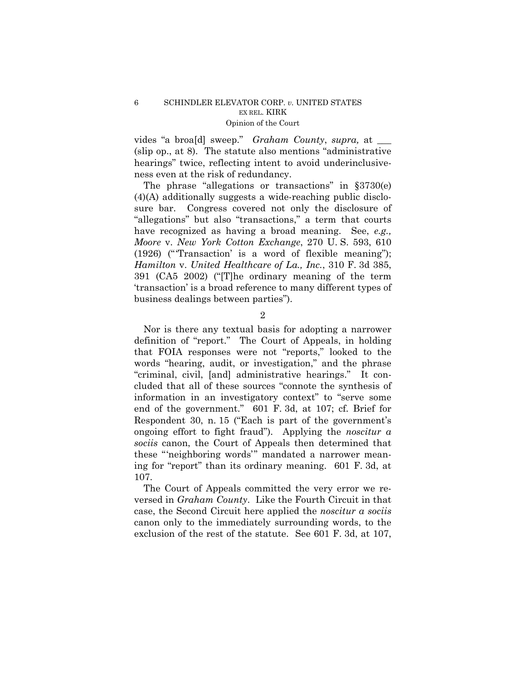vides "a broa[d] sweep." *Graham County*, *supra,* at \_\_\_ (slip op., at 8). The statute also mentions "administrative hearings" twice, reflecting intent to avoid underinclusiveness even at the risk of redundancy.

The phrase "allegations or transactions" in §3730(e) (4)(A) additionally suggests a wide-reaching public disclosure bar. Congress covered not only the disclosure of "allegations" but also "transactions," a term that courts have recognized as having a broad meaning. See, *e.g., Moore* v. *New York Cotton Exchange*, 270 U. S. 593, 610 (1926) ("'Transaction' is a word of flexible meaning"); *Hamilton* v. *United Healthcare of La., Inc.*, 310 F. 3d 385, 391 (CA5 2002) ("[T]he ordinary meaning of the term 'transaction' is a broad reference to many different types of business dealings between parties").

2

Nor is there any textual basis for adopting a narrower definition of "report." The Court of Appeals, in holding that FOIA responses were not "reports," looked to the words "hearing, audit, or investigation," and the phrase "criminal, civil, [and] administrative hearings." It concluded that all of these sources "connote the synthesis of information in an investigatory context" to "serve some end of the government." 601 F. 3d, at 107; cf. Brief for Respondent 30, n. 15 ("Each is part of the government's ongoing effort to fight fraud"). Applying the *noscitur a sociis* canon, the Court of Appeals then determined that these "'neighboring words'" mandated a narrower meaning for "report" than its ordinary meaning. 601 F. 3d, at 107.

The Court of Appeals committed the very error we reversed in *Graham County*. Like the Fourth Circuit in that case, the Second Circuit here applied the *noscitur a sociis*  canon only to the immediately surrounding words, to the exclusion of the rest of the statute. See 601 F. 3d, at 107,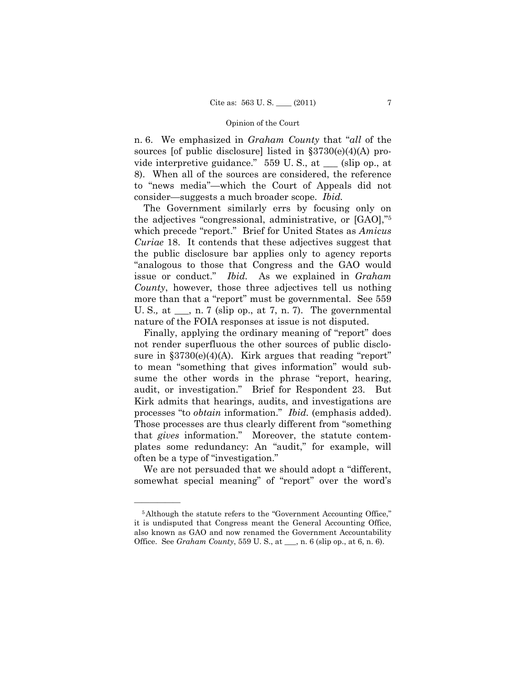n. 6. We emphasized in *Graham County* that "*all* of the sources [of public disclosure] listed in  $\S 3730(e)(4)(A)$  provide interpretive guidance." 559 U. S., at \_\_\_ (slip op., at 8). When all of the sources are considered, the reference to "news media"—which the Court of Appeals did not consider—suggests a much broader scope. *Ibid.* 

The Government similarly errs by focusing only on the adjectives "congressional, administrative, or [GAO],"5 which precede "report." Brief for United States as *Amicus Curiae* 18. It contends that these adjectives suggest that the public disclosure bar applies only to agency reports "analogous to those that Congress and the GAO would issue or conduct." *Ibid.* As we explained in *Graham County*, however, those three adjectives tell us nothing more than that a "report" must be governmental. See 559 U. S.*,* at \_\_\_, n. 7 (slip op., at 7, n. 7). The governmental nature of the FOIA responses at issue is not disputed.

Finally, applying the ordinary meaning of "report" does not render superfluous the other sources of public disclosure in  $\S 3730(e)(4)(A)$ . Kirk argues that reading "report" to mean "something that gives information" would subsume the other words in the phrase "report, hearing, audit, or investigation." Brief for Respondent 23. But Kirk admits that hearings, audits, and investigations are processes "to *obtain* information." *Ibid.* (emphasis added). Those processes are thus clearly different from "something that *gives* information." Moreover, the statute contemplates some redundancy: An "audit," for example, will often be a type of "investigation."

We are not persuaded that we should adopt a "different, somewhat special meaning" of "report" over the word's

<sup>5</sup>Although the statute refers to the "Government Accounting Office," it is undisputed that Congress meant the General Accounting Office, also known as GAO and now renamed the Government Accountability Office. See *Graham County*, 559 U. S., at \_\_\_, n. 6 (slip op., at 6, n. 6).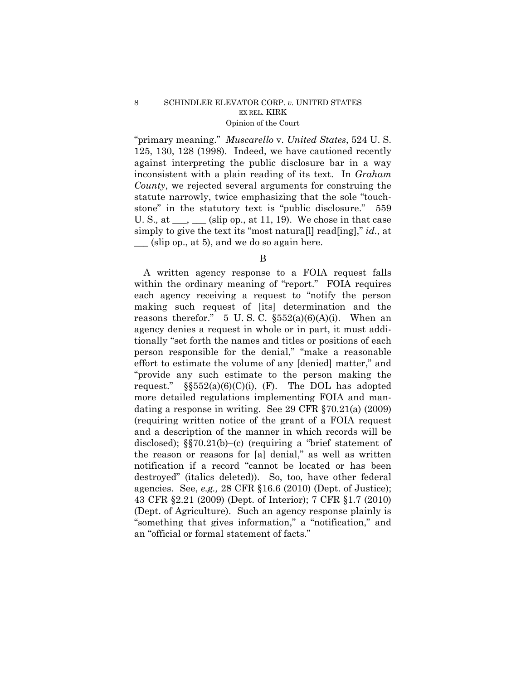### 8 SCHINDLER ELEVATOR CORP. *v.* UNITED STATES EX REL. KIRK Opinion of the Court

"primary meaning." *Muscarello* v. *United States*, 524 U. S. 125, 130, 128 (1998). Indeed, we have cautioned recently against interpreting the public disclosure bar in a way inconsistent with a plain reading of its text. In *Graham County*, we rejected several arguments for construing the statute narrowly, twice emphasizing that the sole "touchstone" in the statutory text is "public disclosure." 559 U. S., at  $\_\_\_\_\_\_\_\$  (slip op., at 11, 19). We chose in that case simply to give the text its "most natura[l] read[ing]," *id.,* at  $\equiv$  (slip op., at 5), and we do so again here.

A written agency response to a FOIA request falls within the ordinary meaning of "report." FOIA requires each agency receiving a request to "notify the person making such request of [its] determination and the reasons therefor." 5 U.S.C.  $\S552(a)(6)(A)(i)$ . When an agency denies a request in whole or in part, it must additionally "set forth the names and titles or positions of each person responsible for the denial," "make a reasonable effort to estimate the volume of any [denied] matter," and "provide any such estimate to the person making the request."  $\S552(a)(6)(C)(i)$ , (F). The DOL has adopted more detailed regulations implementing FOIA and mandating a response in writing. See 29 CFR §70.21(a) (2009) (requiring written notice of the grant of a FOIA request and a description of the manner in which records will be disclosed); §§70.21(b)–(c) (requiring a "brief statement of the reason or reasons for [a] denial," as well as written notification if a record "cannot be located or has been destroyed" (italics deleted)). So, too, have other federal agencies. See, *e.g.,* 28 CFR §16.6 (2010) (Dept. of Justice); 43 CFR §2.21 (2009) (Dept. of Interior); 7 CFR §1.7 (2010) (Dept. of Agriculture). Such an agency response plainly is "something that gives information," a "notification," and an "official or formal statement of facts."

B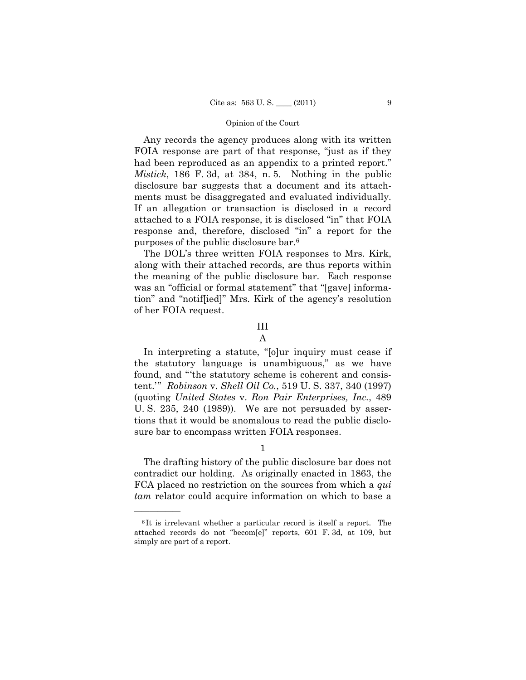Any records the agency produces along with its written FOIA response are part of that response, "just as if they had been reproduced as an appendix to a printed report." *Mistick*, 186 F. 3d, at 384, n. 5. Nothing in the public disclosure bar suggests that a document and its attachments must be disaggregated and evaluated individually. If an allegation or transaction is disclosed in a record attached to a FOIA response, it is disclosed "in" that FOIA response and, therefore, disclosed "in" a report for the purposes of the public disclosure bar.6

The DOL's three written FOIA responses to Mrs. Kirk, along with their attached records, are thus reports within the meaning of the public disclosure bar. Each response was an "official or formal statement" that "[gave] information" and "notif[ied]" Mrs. Kirk of the agency's resolution of her FOIA request.

## III

#### A

In interpreting a statute, "[o]ur inquiry must cease if the statutory language is unambiguous," as we have found, and "'the statutory scheme is coherent and consistent.'" *Robinson* v. *Shell Oil Co.*, 519 U. S. 337, 340 (1997) (quoting *United States* v. *Ron Pair Enterprises, Inc.*, 489 U. S. 235, 240 (1989)). We are not persuaded by assertions that it would be anomalous to read the public disclosure bar to encompass written FOIA responses.

### 1

The drafting history of the public disclosure bar does not contradict our holding. As originally enacted in 1863, the FCA placed no restriction on the sources from which a *qui tam* relator could acquire information on which to base a

<sup>6</sup> It is irrelevant whether a particular record is itself a report. The attached records do not "becom[e]" reports, 601 F. 3d, at 109, but simply are part of a report.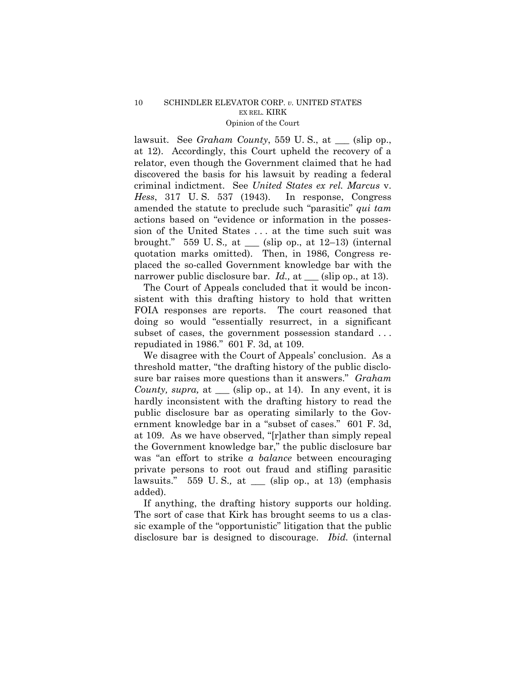lawsuit. See *Graham County*, 559 U. S., at \_\_\_ (slip op., at 12). Accordingly, this Court upheld the recovery of a relator, even though the Government claimed that he had discovered the basis for his lawsuit by reading a federal criminal indictment. See *United States ex rel. Marcus* v. *Hess*, 317 U. S. 537 (1943). In response, Congress amended the statute to preclude such "parasitic" *qui tam* actions based on "evidence or information in the possession of the United States . . . at the time such suit was brought." 559 U. S.*,* at \_\_\_ (slip op., at 12–13) (internal quotation marks omitted). Then, in 1986, Congress replaced the so-called Government knowledge bar with the narrower public disclosure bar. *Id.*, at <u>section</u> (slip op., at 13).

The Court of Appeals concluded that it would be inconsistent with this drafting history to hold that written FOIA responses are reports. The court reasoned that doing so would "essentially resurrect, in a significant subset of cases, the government possession standard ... repudiated in 1986." 601 F. 3d, at 109.

We disagree with the Court of Appeals' conclusion. As a threshold matter, "the drafting history of the public disclosure bar raises more questions than it answers." *Graham County, supra,* at \_\_\_ (slip op., at 14). In any event, it is hardly inconsistent with the drafting history to read the public disclosure bar as operating similarly to the Government knowledge bar in a "subset of cases." 601 F. 3d, at 109. As we have observed, "[r]ather than simply repeal the Government knowledge bar," the public disclosure bar was "an effort to strike *a balance* between encouraging private persons to root out fraud and stifling parasitic lawsuits." 559 U. S.*,* at \_\_\_ (slip op., at 13) (emphasis added).

If anything, the drafting history supports our holding. The sort of case that Kirk has brought seems to us a classic example of the "opportunistic" litigation that the public disclosure bar is designed to discourage. *Ibid.* (internal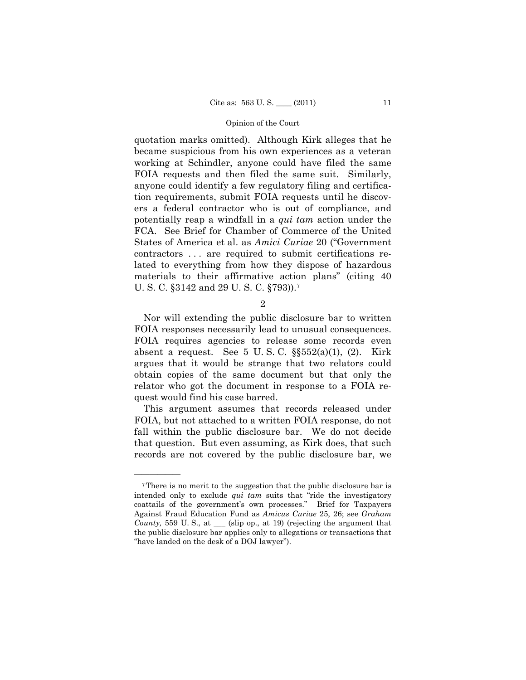quotation marks omitted). Although Kirk alleges that he became suspicious from his own experiences as a veteran working at Schindler, anyone could have filed the same FOIA requests and then filed the same suit. Similarly, anyone could identify a few regulatory filing and certification requirements, submit FOIA requests until he discovers a federal contractor who is out of compliance, and potentially reap a windfall in a *qui tam* action under the FCA. See Brief for Chamber of Commerce of the United States of America et al. as *Amici Curiae* 20 ("Government contractors . . . are required to submit certifications related to everything from how they dispose of hazardous materials to their affirmative action plans" (citing 40 U. S. C. §3142 and 29 U. S. C. §793)).7

 $\mathfrak{D}$ 

Nor will extending the public disclosure bar to written FOIA responses necessarily lead to unusual consequences. FOIA requires agencies to release some records even absent a request. See  $5 \text{ U.S. C. }$   $\S\$  $552(a)(1), (2)$ . Kirk argues that it would be strange that two relators could obtain copies of the same document but that only the relator who got the document in response to a FOIA request would find his case barred.

This argument assumes that records released under FOIA, but not attached to a written FOIA response, do not fall within the public disclosure bar. We do not decide that question. But even assuming, as Kirk does, that such records are not covered by the public disclosure bar, we

<sup>7</sup>There is no merit to the suggestion that the public disclosure bar is intended only to exclude *qui tam* suits that "ride the investigatory coattails of the government's own processes." Brief for Taxpayers Against Fraud Education Fund as *Amicus Curiae* 25, 26; see *Graham County,* 559 U. S., at \_\_\_ (slip op., at 19) (rejecting the argument that the public disclosure bar applies only to allegations or transactions that "have landed on the desk of a DOJ lawyer").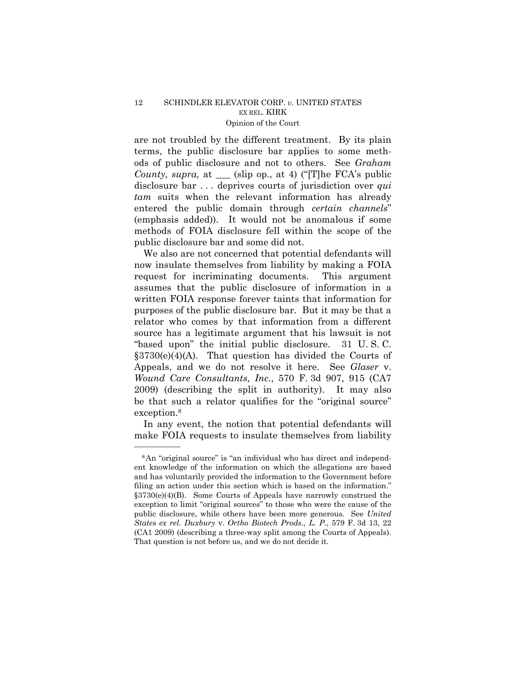are not troubled by the different treatment. By its plain terms, the public disclosure bar applies to some methods of public disclosure and not to others. See *Graham County, supra,* at \_\_\_ (slip op., at 4) ("[T]he FCA's public disclosure bar . . . deprives courts of jurisdiction over *qui tam* suits when the relevant information has already entered the public domain through *certain channels*" (emphasis added)). It would not be anomalous if some methods of FOIA disclosure fell within the scope of the public disclosure bar and some did not.

We also are not concerned that potential defendants will now insulate themselves from liability by making a FOIA request for incriminating documents. This argument assumes that the public disclosure of information in a written FOIA response forever taints that information for purposes of the public disclosure bar. But it may be that a relator who comes by that information from a different source has a legitimate argument that his lawsuit is not "based upon" the initial public disclosure. 31 U. S. C.  $§3730(e)(4)(A)$ . That question has divided the Courts of Appeals, and we do not resolve it here. See *Glaser* v. *Wound Care Consultants, Inc.*, 570 F. 3d 907, 915 (CA7 2009) (describing the split in authority). It may also be that such a relator qualifies for the "original source" exception.8

In any event, the notion that potential defendants will make FOIA requests to insulate themselves from liability

<sup>8</sup>An "original source" is "an individual who has direct and independent knowledge of the information on which the allegations are based and has voluntarily provided the information to the Government before filing an action under this section which is based on the information." §3730(e)(4)(B). Some Courts of Appeals have narrowly construed the exception to limit "original sources" to those who were the cause of the public disclosure, while others have been more generous. See *United States ex rel. Duxbury* v. *Ortho Biotech Prods., L. P.*, 579 F. 3d 13, 22 (CA1 2009) (describing a three-way split among the Courts of Appeals). That question is not before us, and we do not decide it.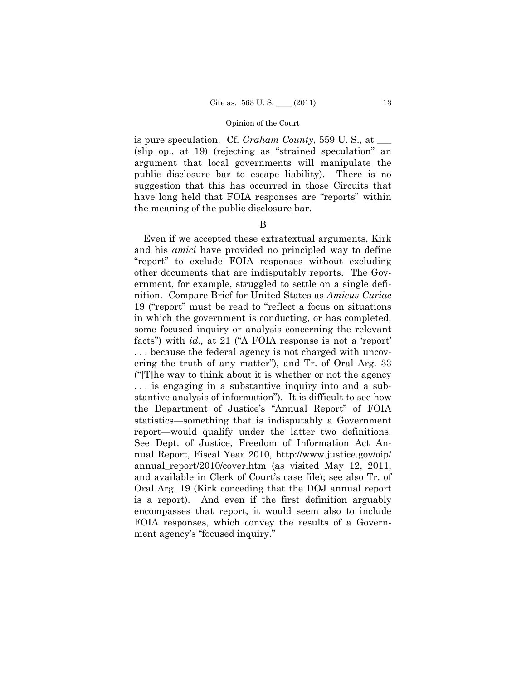is pure speculation. Cf. *Graham County*, 559 U.S., at (slip op., at 19) (rejecting as "strained speculation" an argument that local governments will manipulate the public disclosure bar to escape liability). There is no suggestion that this has occurred in those Circuits that have long held that FOIA responses are "reports" within the meaning of the public disclosure bar.

#### B

Even if we accepted these extratextual arguments, Kirk and his *amici* have provided no principled way to define "report" to exclude FOIA responses without excluding other documents that are indisputably reports. The Government, for example, struggled to settle on a single definition. Compare Brief for United States as *Amicus Curiae*  19 ("report" must be read to "reflect a focus on situations in which the government is conducting, or has completed, some focused inquiry or analysis concerning the relevant facts") with *id.,* at 21 ("A FOIA response is not a 'report' . . . because the federal agency is not charged with uncovering the truth of any matter"), and Tr. of Oral Arg. 33 ("[T]he way to think about it is whether or not the agency . . . is engaging in a substantive inquiry into and a substantive analysis of information"). It is difficult to see how the Department of Justice's "Annual Report" of FOIA statistics—something that is indisputably a Government report—would qualify under the latter two definitions. See Dept. of Justice, Freedom of Information Act Annual Report, Fiscal Year 2010, http://www.justice.gov/oip/ annual\_report/2010/cover.htm (as visited May 12, 2011, and available in Clerk of Court's case file); see also Tr. of Oral Arg. 19 (Kirk conceding that the DOJ annual report is a report). And even if the first definition arguably encompasses that report, it would seem also to include FOIA responses, which convey the results of a Government agency's "focused inquiry."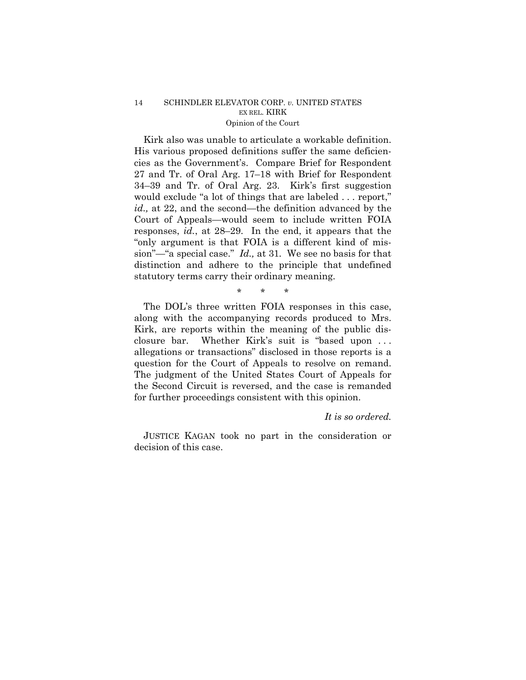## 14 SCHINDLER ELEVATOR CORP. *v.* UNITED STATES EX REL. KIRK Opinion of the Court

Kirk also was unable to articulate a workable definition. His various proposed definitions suffer the same deficiencies as the Government's. Compare Brief for Respondent 27 and Tr. of Oral Arg. 17–18 with Brief for Respondent 34–39 and Tr. of Oral Arg. 23. Kirk's first suggestion would exclude "a lot of things that are labeled . . . report," *id.,* at 22, and the second—the definition advanced by the Court of Appeals—would seem to include written FOIA responses, *id.*, at 28–29. In the end, it appears that the "only argument is that FOIA is a different kind of mission"—"a special case." *Id.,* at 31*.* We see no basis for that distinction and adhere to the principle that undefined statutory terms carry their ordinary meaning.

\* \* \*

The DOL's three written FOIA responses in this case, along with the accompanying records produced to Mrs. Kirk, are reports within the meaning of the public disclosure bar. Whether Kirk's suit is "based upon . . . allegations or transactions" disclosed in those reports is a question for the Court of Appeals to resolve on remand. The judgment of the United States Court of Appeals for the Second Circuit is reversed, and the case is remanded for further proceedings consistent with this opinion.

## *It is so ordered.*

JUSTICE KAGAN took no part in the consideration or decision of this case.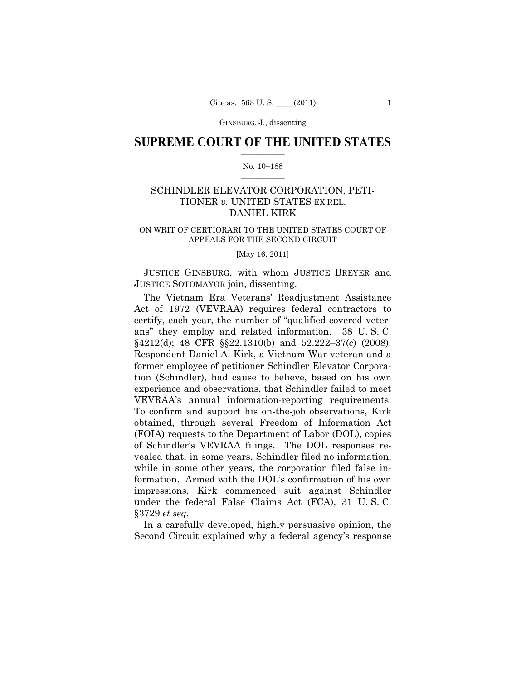GINSBURG, J., dissenting

### **SUPREME COURT OF THE UNITED STATES**  $\frac{1}{2}$  ,  $\frac{1}{2}$  ,  $\frac{1}{2}$  ,  $\frac{1}{2}$  ,  $\frac{1}{2}$  ,  $\frac{1}{2}$  ,  $\frac{1}{2}$

#### No. 10–188  $\frac{1}{2}$  ,  $\frac{1}{2}$  ,  $\frac{1}{2}$  ,  $\frac{1}{2}$  ,  $\frac{1}{2}$  ,  $\frac{1}{2}$

## SCHINDLER ELEVATOR CORPORATION, PETI-TIONER *v.* UNITED STATES EX REL. DANIEL KIRK

#### ON WRIT OF CERTIORARI TO THE UNITED STATES COURT OF APPEALS FOR THE SECOND CIRCUIT

#### [May 16, 2011]

 JUSTICE GINSBURG, with whom JUSTICE BREYER and JUSTICE SOTOMAYOR join, dissenting.

 The Vietnam Era Veterans' Readjustment Assistance Act of 1972 (VEVRAA) requires federal contractors to certify, each year, the number of "qualified covered veterans" they employ and related information. 38 U. S. C. §4212(d); 48 CFR §§22.1310(b) and 52.222–37(c) (2008). Respondent Daniel A. Kirk, a Vietnam War veteran and a former employee of petitioner Schindler Elevator Corporation (Schindler), had cause to believe, based on his own experience and observations, that Schindler failed to meet VEVRAA's annual information-reporting requirements. To confirm and support his on-the-job observations, Kirk obtained, through several Freedom of Information Act (FOIA) requests to the Department of Labor (DOL), copies of Schindler's VEVRAA filings. The DOL responses revealed that, in some years, Schindler filed no information, while in some other years, the corporation filed false information. Armed with the DOL's confirmation of his own impressions, Kirk commenced suit against Schindler under the federal False Claims Act (FCA), 31 U. S. C. §3729 *et seq.*

 In a carefully developed, highly persuasive opinion, the Second Circuit explained why a federal agency's response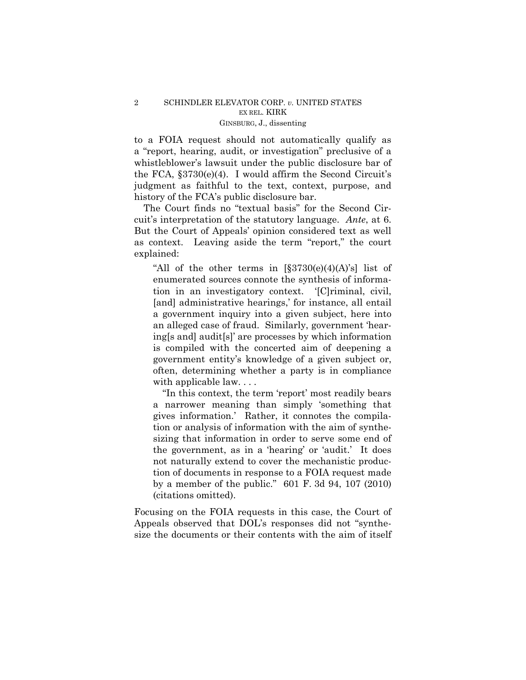to a FOIA request should not automatically qualify as a "report, hearing, audit, or investigation" preclusive of a whistleblower's lawsuit under the public disclosure bar of the FCA, §3730(e)(4). I would affirm the Second Circuit's judgment as faithful to the text, context, purpose, and history of the FCA's public disclosure bar.

The Court finds no "textual basis" for the Second Circuit's interpretation of the statutory language. *Ante*, at 6. But the Court of Appeals' opinion considered text as well as context. Leaving aside the term "report," the court explained:

"All of the other terms in  $[\S 3730(e)(4)(A)']$  list of enumerated sources connote the synthesis of information in an investigatory context. '[C]riminal, civil, [and] administrative hearings,' for instance, all entail a government inquiry into a given subject, here into an alleged case of fraud. Similarly, government 'hearing[s and] audit[s]' are processes by which information is compiled with the concerted aim of deepening a government entity's knowledge of a given subject or, often, determining whether a party is in compliance with applicable law....

"In this context, the term 'report' most readily bears a narrower meaning than simply 'something that gives information.' Rather, it connotes the compilation or analysis of information with the aim of synthesizing that information in order to serve some end of the government, as in a 'hearing' or 'audit.' It does not naturally extend to cover the mechanistic production of documents in response to a FOIA request made by a member of the public." 601 F. 3d 94, 107 (2010) (citations omitted).

Focusing on the FOIA requests in this case, the Court of Appeals observed that DOL's responses did not "synthesize the documents or their contents with the aim of itself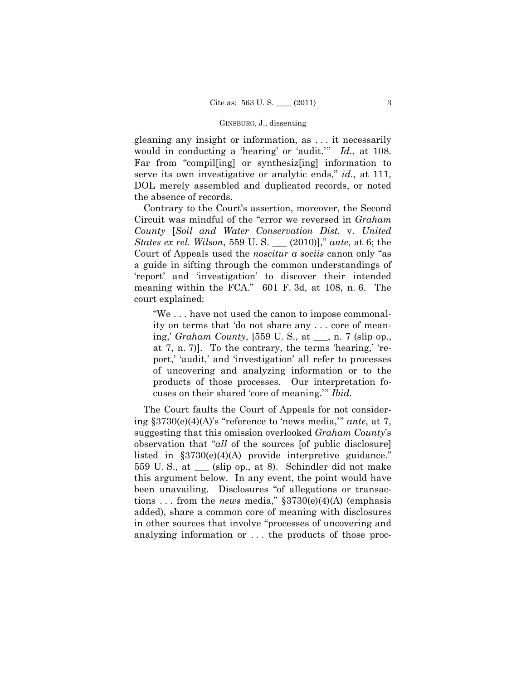#### GINSBURG, J., dissenting

gleaning any insight or information, as . . . it necessarily would in conducting a 'hearing' or 'audit.'" *Id.*, at 108. Far from "compil[ing] or synthesiz[ing] information to serve its own investigative or analytic ends," *id.*, at 111, DOL merely assembled and duplicated records, or noted the absence of records.

Contrary to the Court's assertion, moreover, the Second Circuit was mindful of the "error we reversed in *Graham County* [*Soil and Water Conservation Dist.* v. *United States ex rel. Wilson*, 559 U. S. \_\_\_ (2010)]," *ante*, at 6; the Court of Appeals used the *noscitur a sociis* canon only "as a guide in sifting through the common understandings of 'report' and 'investigation' to discover their intended meaning within the FCA." 601 F. 3d, at 108, n. 6. The court explained:

"We . . . have not used the canon to impose commonality on terms that 'do not share any . . . core of meaning,' *Graham County*, [559 U. S., at \_\_\_, n. 7 (slip op., at 7, n. 7)]. To the contrary, the terms 'hearing,' 'report,' 'audit,' and 'investigation' all refer to processes of uncovering and analyzing information or to the products of those processes. Our interpretation focuses on their shared 'core of meaning.'" *Ibid.* 

The Court faults the Court of Appeals for not considering §3730(e)(4)(A)'s "reference to 'news media,'" *ante*, at 7, suggesting that this omission overlooked *Graham County*'s observation that "*all* of the sources [of public disclosure] listed in §3730(e)(4)(A) provide interpretive guidance." 559 U. S., at \_\_\_ (slip op., at 8). Schindler did not make this argument below. In any event, the point would have been unavailing. Disclosures "of allegations or transactions . . . from the *news* media," §3730(e)(4)(A) (emphasis added), share a common core of meaning with disclosures in other sources that involve "processes of uncovering and analyzing information or . . . the products of those proc